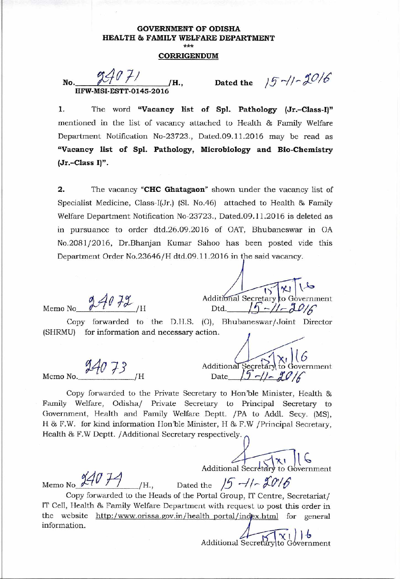# **GOVERNMENT OF ODISHA HEALTH 8a FAMILY WELFARE DEPARTMENT**  *\*\*\**

## **CORRIGENDUM**

**No.**  $\frac{776 \text{ F}}{100}$  /H., Dated the  $15 - 2016$ **HFW-MSI-ESTT-0145-20** 

**1. The word "Vacancy list of Spl. Pathology (Jr.-Class-I)"**  mentioned in the list of vacancy attached to Health & Family Welfare Department Notification No-23723., Dated.09.11.2016 may be read as **"Vacancy list of Spl. Pathology, Microbiology and Bio-Chemistry (Jr.-Class I)".** 

2. The vacancy "CHC **Ghatagaon"** shown under the vacancy list of Specialist Medicine, Class-I(Jr.) (Si. No.46) attached to Health & Family Welfare Department Notification No-23723., Dated.09.11.2016 is deleted as in pursuance to order dtd.26.09.2016 of OAT, Bhubaneswar in OA No.2081/2016, Dr.Bhanjan Kumar Sahoo has been posted vide this Department Order No.23646 /H dtd.09.11.2016 in the said vacancy.

 $24072$ Memo No

 $\overline{\mathbf{r}}$ Additional Secretary to Government Dtd.  $19 - 11 - 2016$ 

Copy forwarded to the D.H.S. (O), Bhubaneswar/Joint Director (SHRMU) for information and necessary action.

24073

Additional Secretary to Government Memo No.  $\frac{\partial^2 f}{\partial t^2}$  /H Date  $\frac{15 - 1}{5 - 1}$   $\frac{20}{6}$ 

Copy forwarded to the Private Secretary to Hon'ble Minister, Health & Family Welfare, Odisha/ Private Secretary to Principal Secretary to Government, Health and Family Welfare Deptt. /PA to Addl. Secy. (MS), H & F.W. for kind information Hon'ble Minister, H & F.W /Principal Secretary, Health & F.W Dcptt. /Additional Secretary respectively.

 $\mathbf{x}$ 1 Additional Secretary to Government

Memo No  $\frac{14V f^4}{\frac{1}{16}}$  *H.*, Dated the  $15 - 1 - 2016$ Copy forwarded to the Heads of the Portal Group, IT Centre, Secretariat/ IT Cell, Health & Family Welfare Department with request to post this order in the website http:/www.orissa.gov.in/health portal/index.html for general information.<br>  $\frac{1}{x}$  )  $\frac{1}{y}$ <br>
Additional Secretary to Government information.

Additional Secretary to Government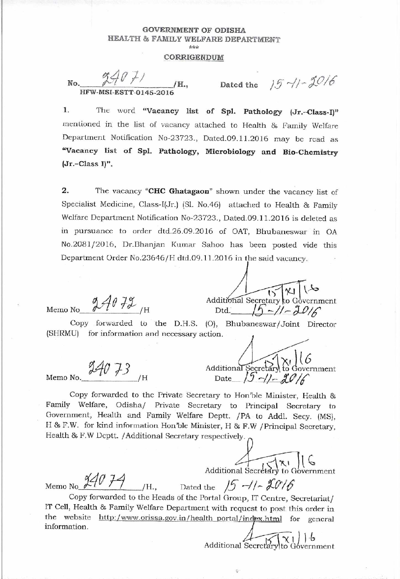# **GOVERNMENT OF ODISHA** HEALTH & FAMILY WELFARE DEPARTMENT \*\*\*

#### CORRIGENDUM

No. /H., HFW-MSI-ESTT-0145-2016

Dated the  $15 - 1 - 2016$ 

1. The word "Vacancy list of Spl. Pathology (Jr.-Class-I)" mentioned in the list of vacancy attached to Health & Family Welfare Department Notification No-23723., Dated.09.11.2016 may be read as "Vacancy list of Spl. Pathology, Microbiology and Bio-Chemistry  $(Jr.-Class I)$ ".

 $\overline{2}$ . The vacancy "CHC Ghatagaon" shown under the vacancy list of Specialist Medicine, Class-I(Jr.) (Sl. No.46) attached to Health & Family Welfare Department Notification No-23723., Dated.09.11.2016 is deleted as in pursuance to order dtd.26.09.2016 of OAT, Bhubaneswar in OA No.2081/2016, Dr.Bhanjan Kumar Sahoo has been posted vide this Department Order No.23646/H dtd.09.11.2016 in the said vacancy.

 $24072$ Memo No

Memo No.

 $24073$ 

Additional Secretary to Government Dtd.  $1/2 - 7/2$ 

Copy forwarded to the D.H.S. (O), Bhubaneswar/Joint Director (SHRMU) for information and necessary action.

Additional Secretary to Government Date  $(5 - 1) - 70$ 

Copy forwarded to the Private Secretary to Hon'ble Minister, Health & Family Welfare, Odisha/ Private Secretary to Principal Secretary to Government, Health and Family Welfare Deptt. /PA to Addl. Secy. (MS), H & F.W. for kind information Hon'ble Minister, H & F.W / Principal Secretary, Health & F.W Deptt. / Additional Secretary respectively.

Additional Secretary to Government

Memo No  $\frac{94074}{1}$ /H., Dated the  $15 - 1 - 2016$ Copy forwarded to the Heads of the Portal Group, IT Centre, Secretariat/ IT Cell, Health & Family Welfare Department with request to post this order in the website http:/www.orissa.gov.in/health portal/index.html for general information.

Additional Secretary to Government

 $\mathbb{Q}$